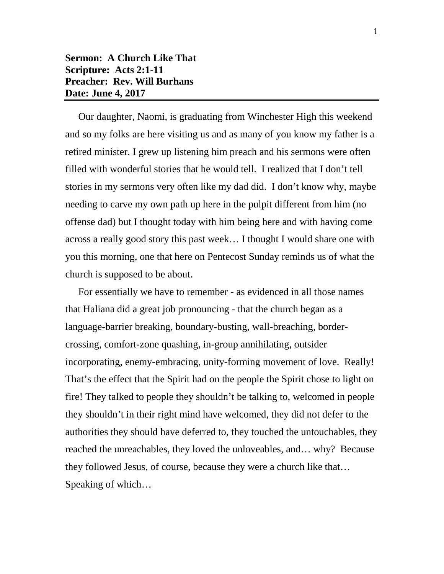## **Sermon: A Church Like That Scripture: Acts 2:1-11 Preacher: Rev. Will Burhans Date: June 4, 2017**

Our daughter, Naomi, is graduating from Winchester High this weekend and so my folks are here visiting us and as many of you know my father is a retired minister. I grew up listening him preach and his sermons were often filled with wonderful stories that he would tell. I realized that I don't tell stories in my sermons very often like my dad did. I don't know why, maybe needing to carve my own path up here in the pulpit different from him (no offense dad) but I thought today with him being here and with having come across a really good story this past week… I thought I would share one with you this morning, one that here on Pentecost Sunday reminds us of what the church is supposed to be about.

For essentially we have to remember - as evidenced in all those names that Haliana did a great job pronouncing - that the church began as a language-barrier breaking, boundary-busting, wall-breaching, bordercrossing, comfort-zone quashing, in-group annihilating, outsider incorporating, enemy-embracing, unity-forming movement of love. Really! That's the effect that the Spirit had on the people the Spirit chose to light on fire! They talked to people they shouldn't be talking to, welcomed in people they shouldn't in their right mind have welcomed, they did not defer to the authorities they should have deferred to, they touched the untouchables, they reached the unreachables, they loved the unloveables, and… why? Because they followed Jesus, of course, because they were a church like that… Speaking of which…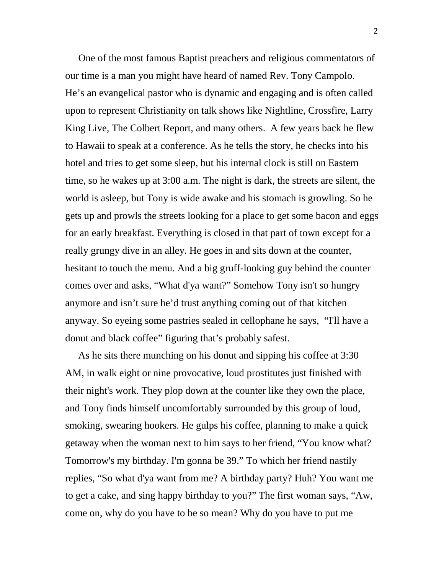One of the most famous Baptist preachers and religious commentators of our time is a man you might have heard of named Rev. Tony Campolo. He's an evangelical pastor who is dynamic and engaging and is often called upon to represent Christianity on talk shows like Nightline, Crossfire, Larry King Live, The Colbert Report, and many others. A few years back he flew to Hawaii to speak at a conference. As he tells the story, he checks into his hotel and tries to get some sleep, but his internal clock is still on Eastern time, so he wakes up at 3:00 a.m. The night is dark, the streets are silent, the world is asleep, but Tony is wide awake and his stomach is growling. So he gets up and prowls the streets looking for a place to get some bacon and eggs for an early breakfast. Everything is closed in that part of town except for a really grungy dive in an alley. He goes in and sits down at the counter, hesitant to touch the menu. And a big gruff-looking guy behind the counter comes over and asks, "What d'ya want?" Somehow Tony isn't so hungry anymore and isn't sure he'd trust anything coming out of that kitchen anyway. So eyeing some pastries sealed in cellophane he says, "I'll have a donut and black coffee" figuring that's probably safest.

As he sits there munching on his donut and sipping his coffee at 3:30 AM, in walk eight or nine provocative, loud prostitutes just finished with their night's work. They plop down at the counter like they own the place, and Tony finds himself uncomfortably surrounded by this group of loud, smoking, swearing hookers. He gulps his coffee, planning to make a quick getaway when the woman next to him says to her friend, "You know what? Tomorrow's my birthday. I'm gonna be 39." To which her friend nastily replies, "So what d'ya want from me? A birthday party? Huh? You want me to get a cake, and sing happy birthday to you?" The first woman says, "Aw, come on, why do you have to be so mean? Why do you have to put me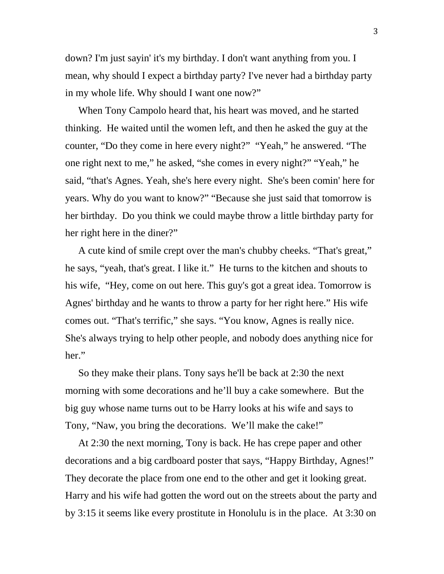down? I'm just sayin' it's my birthday. I don't want anything from you. I mean, why should I expect a birthday party? I've never had a birthday party in my whole life. Why should I want one now?"

When Tony Campolo heard that, his heart was moved, and he started thinking. He waited until the women left, and then he asked the guy at the counter, "Do they come in here every night?" "Yeah," he answered. "The one right next to me," he asked, "she comes in every night?" "Yeah," he said, "that's Agnes. Yeah, she's here every night. She's been comin' here for years. Why do you want to know?" "Because she just said that tomorrow is her birthday. Do you think we could maybe throw a little birthday party for her right here in the diner?"

A cute kind of smile crept over the man's chubby cheeks. "That's great," he says, "yeah, that's great. I like it." He turns to the kitchen and shouts to his wife, "Hey, come on out here. This guy's got a great idea. Tomorrow is Agnes' birthday and he wants to throw a party for her right here." His wife comes out. "That's terrific," she says. "You know, Agnes is really nice. She's always trying to help other people, and nobody does anything nice for her."

So they make their plans. Tony says he'll be back at 2:30 the next morning with some decorations and he'll buy a cake somewhere. But the big guy whose name turns out to be Harry looks at his wife and says to Tony, "Naw, you bring the decorations. We'll make the cake!"

At 2:30 the next morning, Tony is back. He has crepe paper and other decorations and a big cardboard poster that says, "Happy Birthday, Agnes!" They decorate the place from one end to the other and get it looking great. Harry and his wife had gotten the word out on the streets about the party and by 3:15 it seems like every prostitute in Honolulu is in the place. At 3:30 on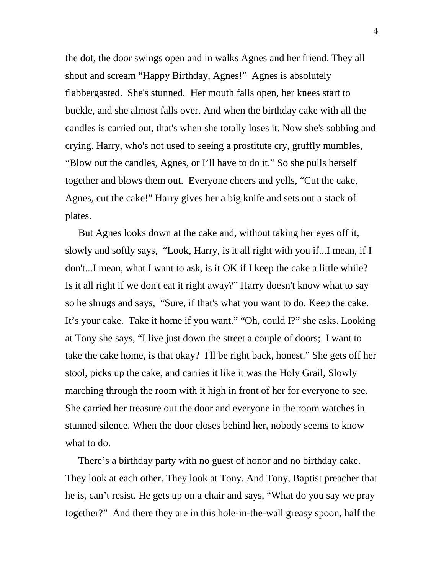the dot, the door swings open and in walks Agnes and her friend. They all shout and scream "Happy Birthday, Agnes!" Agnes is absolutely flabbergasted. She's stunned. Her mouth falls open, her knees start to buckle, and she almost falls over. And when the birthday cake with all the candles is carried out, that's when she totally loses it. Now she's sobbing and crying. Harry, who's not used to seeing a prostitute cry, gruffly mumbles, "Blow out the candles, Agnes, or I'll have to do it." So she pulls herself together and blows them out. Everyone cheers and yells, "Cut the cake, Agnes, cut the cake!" Harry gives her a big knife and sets out a stack of plates.

But Agnes looks down at the cake and, without taking her eyes off it, slowly and softly says, "Look, Harry, is it all right with you if...I mean, if I don't...I mean, what I want to ask, is it OK if I keep the cake a little while? Is it all right if we don't eat it right away?" Harry doesn't know what to say so he shrugs and says, "Sure, if that's what you want to do. Keep the cake. It's your cake. Take it home if you want." "Oh, could I?" she asks. Looking at Tony she says, "I live just down the street a couple of doors; I want to take the cake home, is that okay? I'll be right back, honest." She gets off her stool, picks up the cake, and carries it like it was the Holy Grail, Slowly marching through the room with it high in front of her for everyone to see. She carried her treasure out the door and everyone in the room watches in stunned silence. When the door closes behind her, nobody seems to know what to do.

There's a birthday party with no guest of honor and no birthday cake. They look at each other. They look at Tony. And Tony, Baptist preacher that he is, can't resist. He gets up on a chair and says, "What do you say we pray together?" And there they are in this hole-in-the-wall greasy spoon, half the